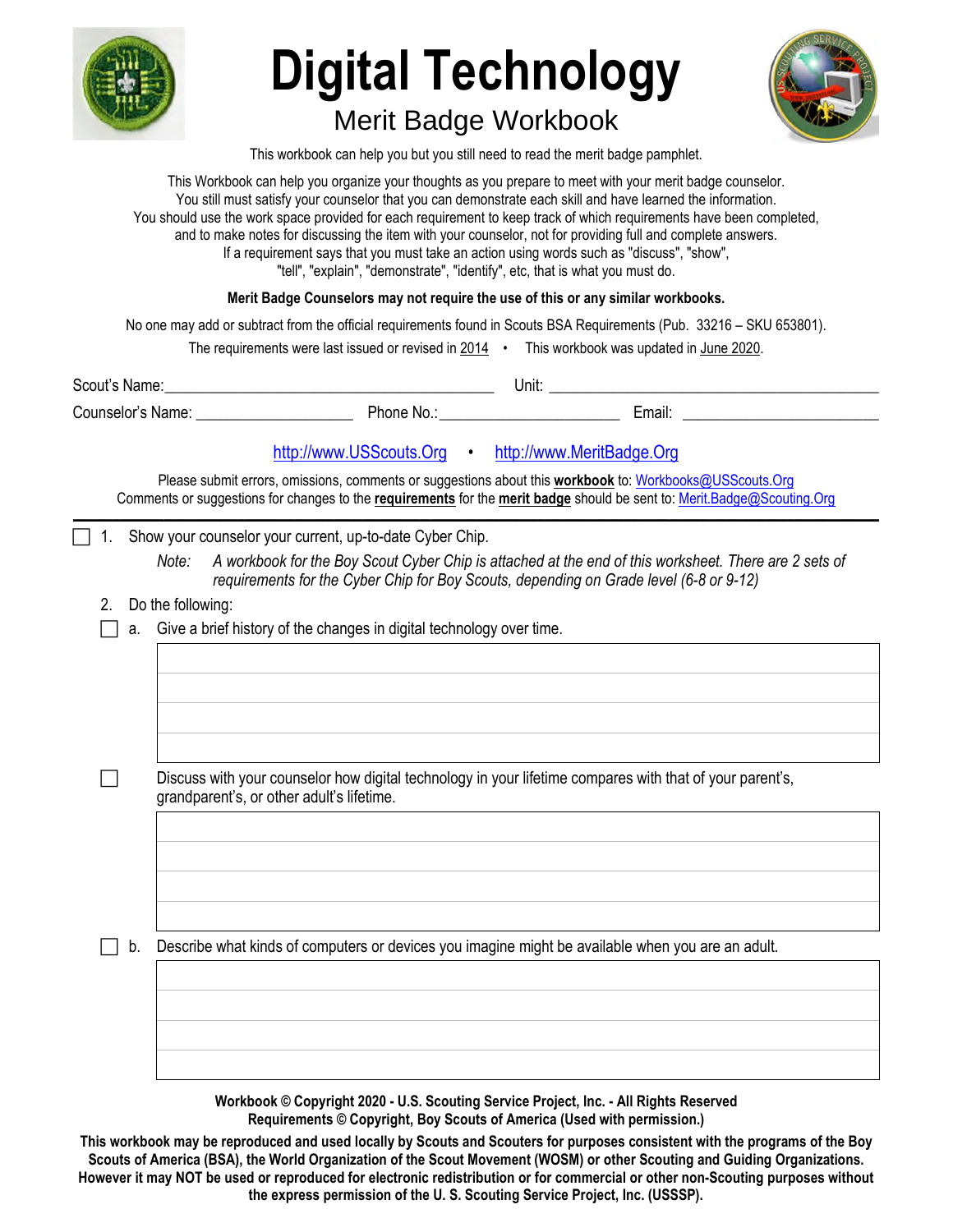

# **Digital Technology**  Merit Badge Workbook



This workbook can help you but you still need to read the merit badge pamphlet.

This Workbook can help you organize your thoughts as you prepare to meet with your merit badge counselor. You still must satisfy your counselor that you can demonstrate each skill and have learned the information. You should use the work space provided for each requirement to keep track of which requirements have been completed, and to make notes for discussing the item with your counselor, not for providing full and complete answers. If a requirement says that you must take an action using words such as "discuss", "show", "tell", "explain", "demonstrate", "identify", etc, that is what you must do.

#### **Merit Badge Counselors may not require the use of this or any similar workbooks.**

No one may add or subtract from the official requirements found in Scouts BSA Requirements (Pub. 33216 – SKU 653801).

| Scout's Name:                           |                                                          | Unit:                                                                                                                                                                                           |
|-----------------------------------------|----------------------------------------------------------|-------------------------------------------------------------------------------------------------------------------------------------------------------------------------------------------------|
| Counselor's Name: The Counselor's Name: |                                                          | Email:                                                                                                                                                                                          |
|                                         | http://www.USScouts.Org                                  | http://www.MeritBadge.Org                                                                                                                                                                       |
|                                         |                                                          | Please submit errors, omissions, comments or suggestions about this workbook to: Workbooks@USScouts.Org                                                                                         |
|                                         |                                                          | Comments or suggestions for changes to the requirements for the merit badge should be sent to: Merit.Badge@Scouting.Org                                                                         |
|                                         | Show your counselor your current, up-to-date Cyber Chip. |                                                                                                                                                                                                 |
| Note:                                   |                                                          | A workbook for the Boy Scout Cyber Chip is attached at the end of this worksheet. There are 2 sets of<br>requirements for the Cyber Chip for Boy Scouts, depending on Grade level (6-8 or 9-12) |
| Do the following:                       |                                                          |                                                                                                                                                                                                 |

Discuss with your counselor how digital technology in your lifetime compares with that of your parent's, grandparent's, or other adult's lifetime.

 $\Box$  b. Describe what kinds of computers or devices you imagine might be available when you are an adult.

**Workbook © Copyright 2020 - U.S. Scouting Service Project, Inc. - All Rights Reserved Requirements © Copyright, Boy Scouts of America (Used with permission.)** 

**This workbook may be reproduced and used locally by Scouts and Scouters for purposes consistent with the programs of the Boy Scouts of America (BSA), the World Organization of the Scout Movement (WOSM) or other Scouting and Guiding Organizations. However it may NOT be used or reproduced for electronic redistribution or for commercial or other non-Scouting purposes without the express permission of the U. S. Scouting Service Project, Inc. (USSSP).**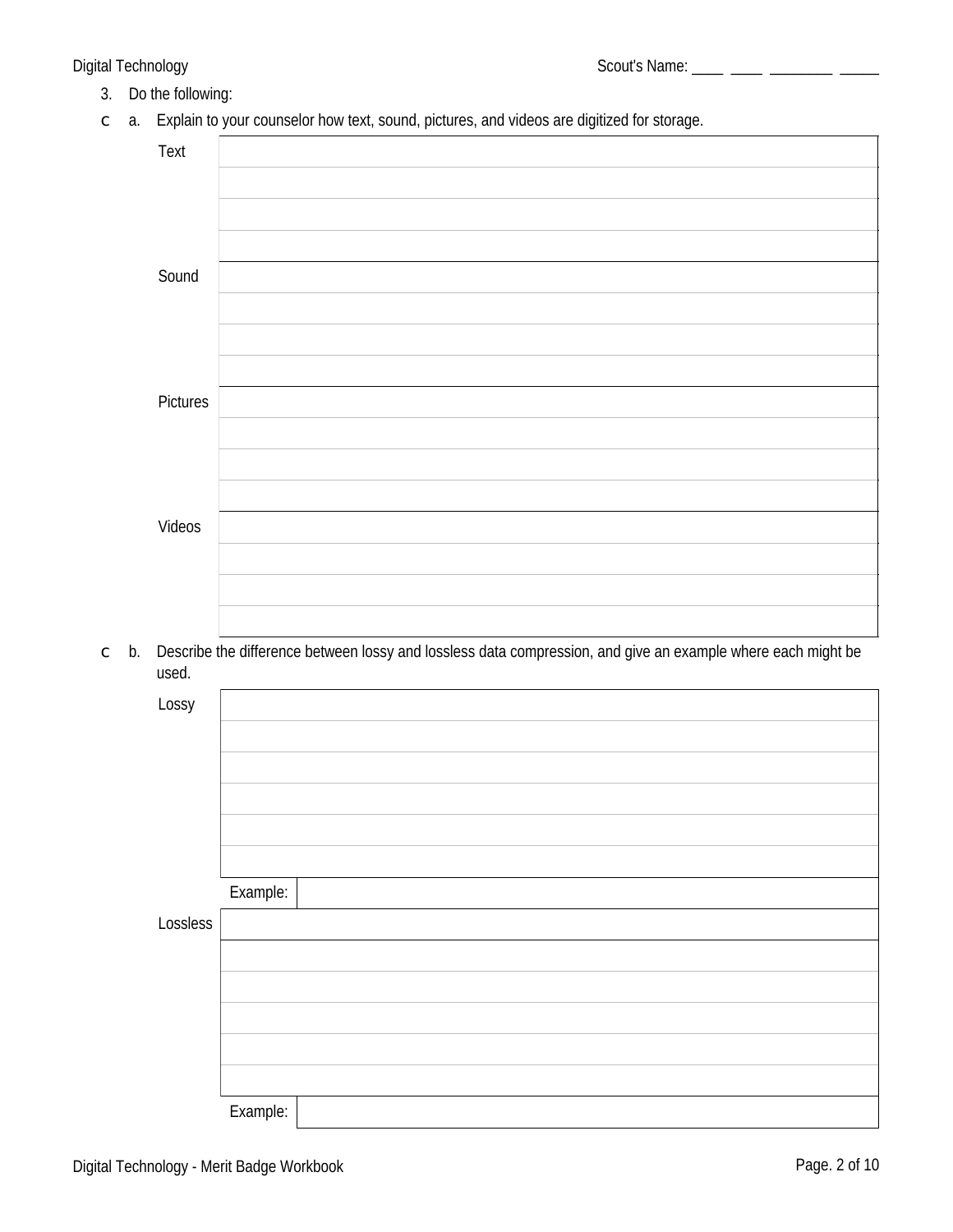- 3. Do the following:
- $\degree$  a. Explain to your counselor how text, sound, pictures, and videos are digitized for storage.

| <b>Text</b>     |  |
|-----------------|--|
|                 |  |
|                 |  |
|                 |  |
| Sound           |  |
|                 |  |
|                 |  |
|                 |  |
| <b>Pictures</b> |  |
|                 |  |
|                 |  |
|                 |  |
| <b>Videos</b>   |  |
|                 |  |
|                 |  |
|                 |  |

c b. Describe the difference between lossy and lossless data compression, and give an example where each might be used.

| Lossy           |          |  |
|-----------------|----------|--|
|                 |          |  |
|                 |          |  |
|                 |          |  |
|                 |          |  |
|                 |          |  |
|                 |          |  |
|                 |          |  |
|                 |          |  |
|                 |          |  |
|                 |          |  |
|                 |          |  |
|                 |          |  |
|                 |          |  |
|                 |          |  |
|                 |          |  |
|                 |          |  |
|                 |          |  |
|                 |          |  |
|                 |          |  |
|                 |          |  |
|                 | Example: |  |
|                 |          |  |
|                 |          |  |
| <b>Lossless</b> |          |  |
|                 |          |  |
|                 |          |  |
|                 |          |  |
|                 |          |  |
|                 |          |  |
|                 |          |  |
|                 |          |  |
|                 |          |  |
|                 |          |  |
|                 |          |  |
|                 |          |  |
|                 |          |  |
|                 |          |  |
|                 |          |  |
|                 |          |  |
|                 |          |  |
|                 |          |  |
|                 |          |  |
|                 |          |  |
|                 |          |  |
|                 | Example: |  |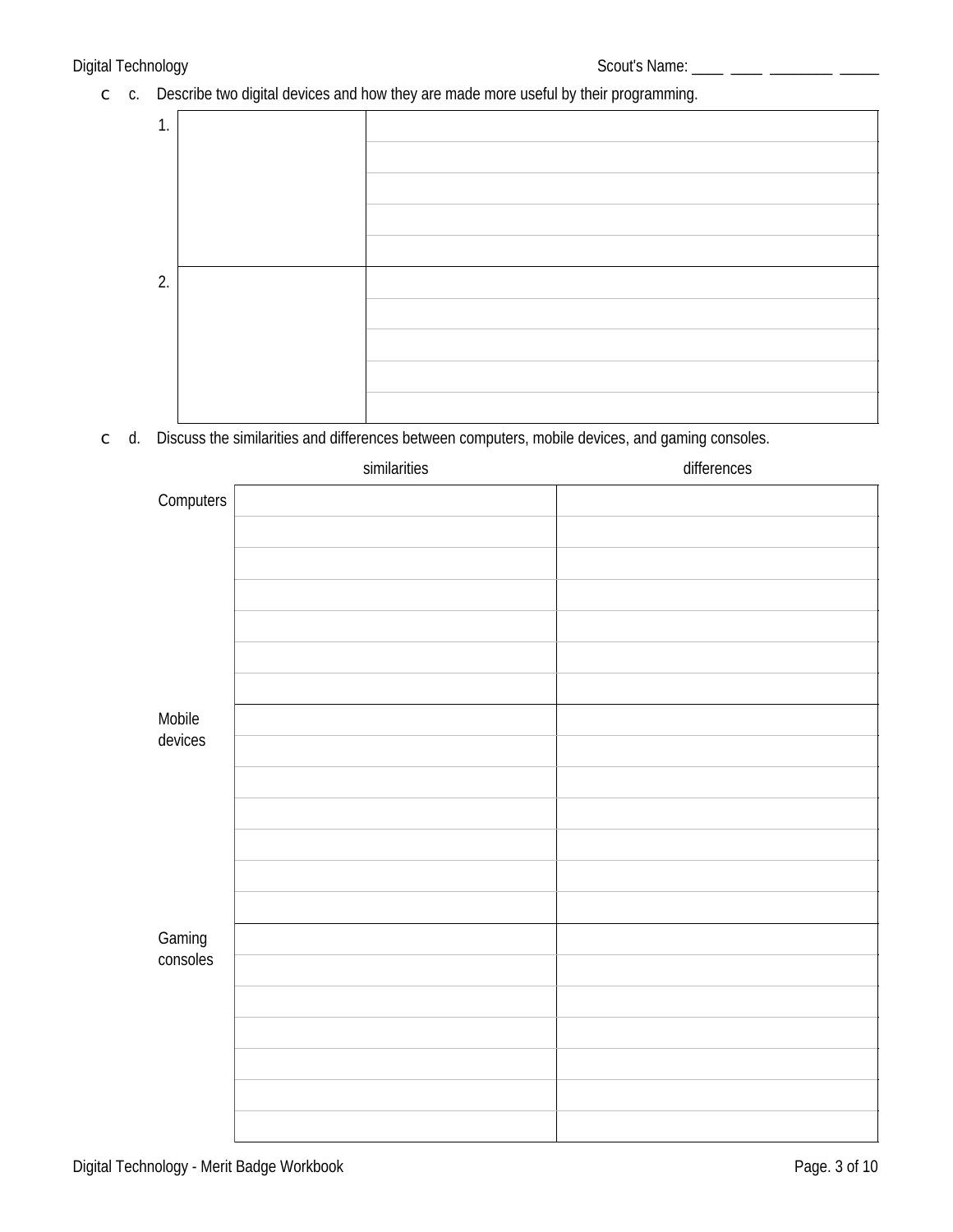\_\_ \_\_\_\_\_\_\_\_ \_

c c. Describe two digital devices and how they are made more useful by their programming.



c d. Discuss the similarities and differences between computers, mobile devices, and gaming consoles.

|                    | similarities | differences |
|--------------------|--------------|-------------|
| Computers          |              |             |
|                    |              |             |
|                    |              |             |
|                    |              |             |
|                    |              |             |
|                    |              |             |
|                    |              |             |
| Mobile             |              |             |
| devices            |              |             |
|                    |              |             |
|                    |              |             |
|                    |              |             |
|                    |              |             |
|                    |              |             |
| Gaming<br>consoles |              |             |
|                    |              |             |
|                    |              |             |
|                    |              |             |
|                    |              |             |
|                    |              |             |
|                    |              |             |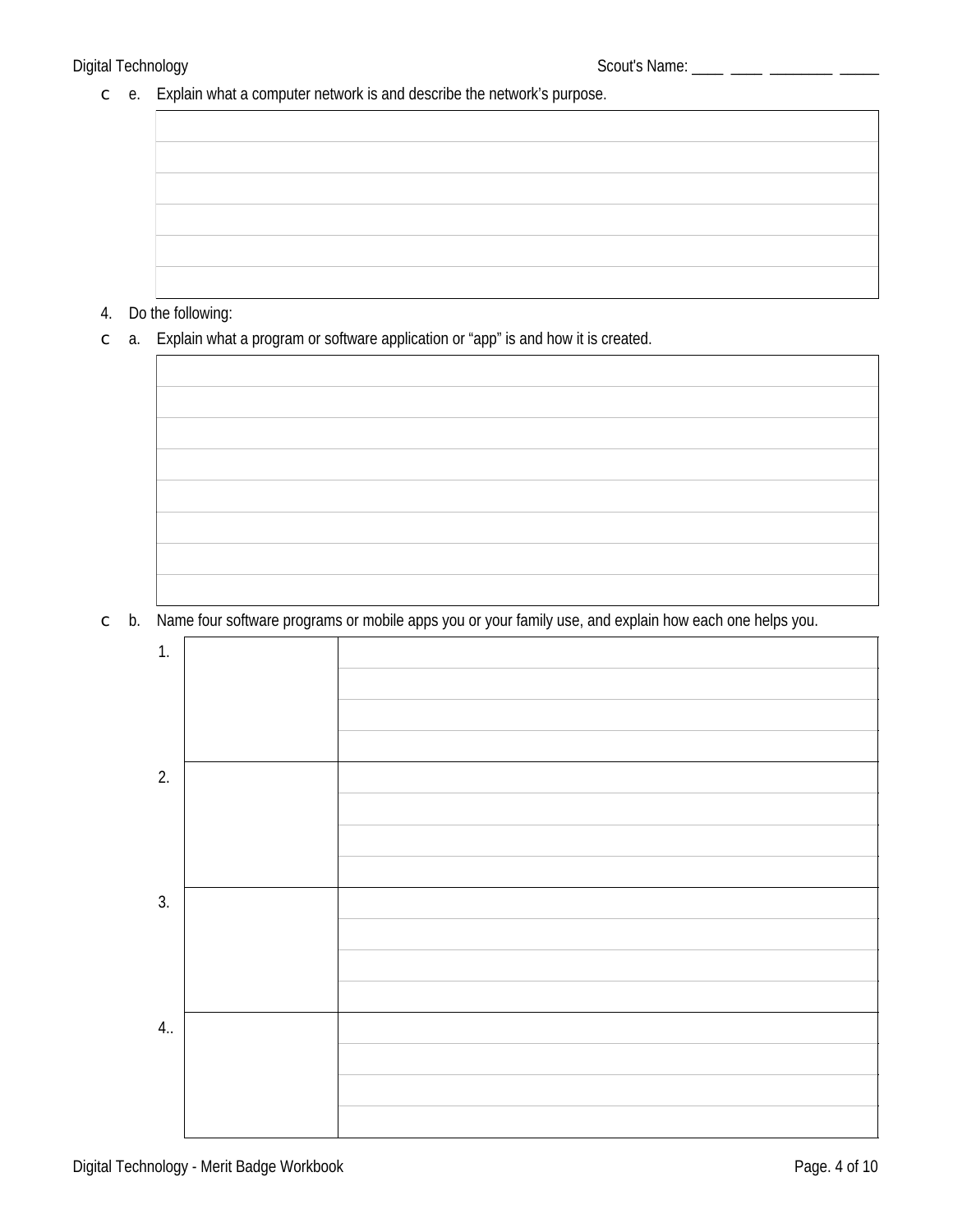$\degree$  e. Explain what a computer network is and describe the network's purpose.

#### 4. Do the following:

Explain what a program or software application or "app" is and how it is created. a.  $\mathsf C$ 

c b. Name four software programs or mobile apps you or your family use, and explain how each one helps you.

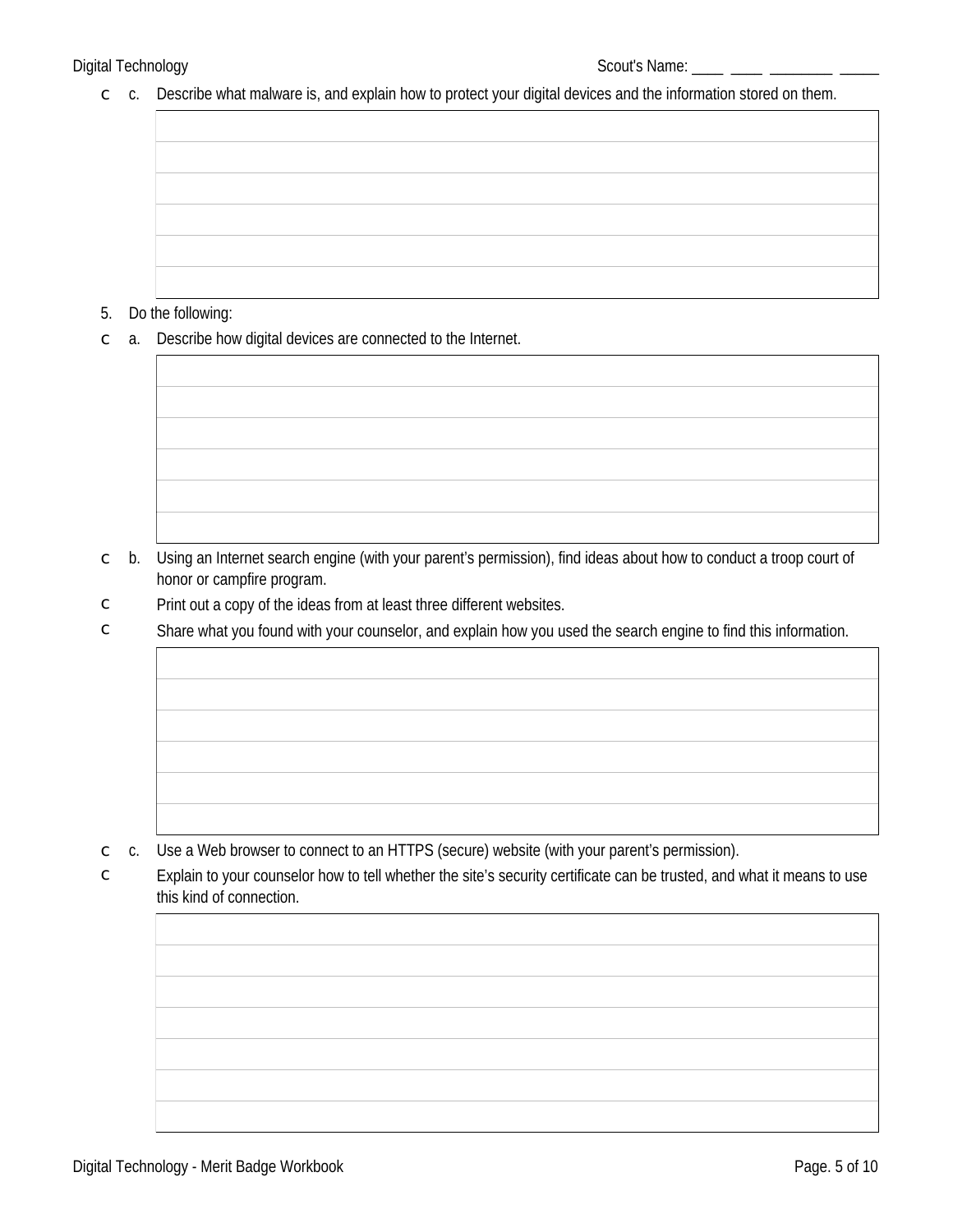c c. Describe what malware is, and explain how to protect your digital devices and the information stored on them.

#### 5. Do the following:

Describe how digital devices are connected to the Internet.  $\mathsf C$ a.

- b. Using an Internet search engine (with your parent's permission), find ideas about how to conduct a troop court of  $\mathsf{C}$ honor or campfire program.
- $\overline{C}$ Print out a copy of the ideas from at least three different websites.
- $\overline{C}$ Share what you found with your counselor, and explain how you used the search engine to find this information.

c. Use a Web browser to connect to an HTTPS (secure) website (with your parent's permission).  $\mathsf C$ 

 $\mathsf{C}$ Explain to your counselor how to tell whether the site's security certificate can be trusted, and what it means to use this kind of connection.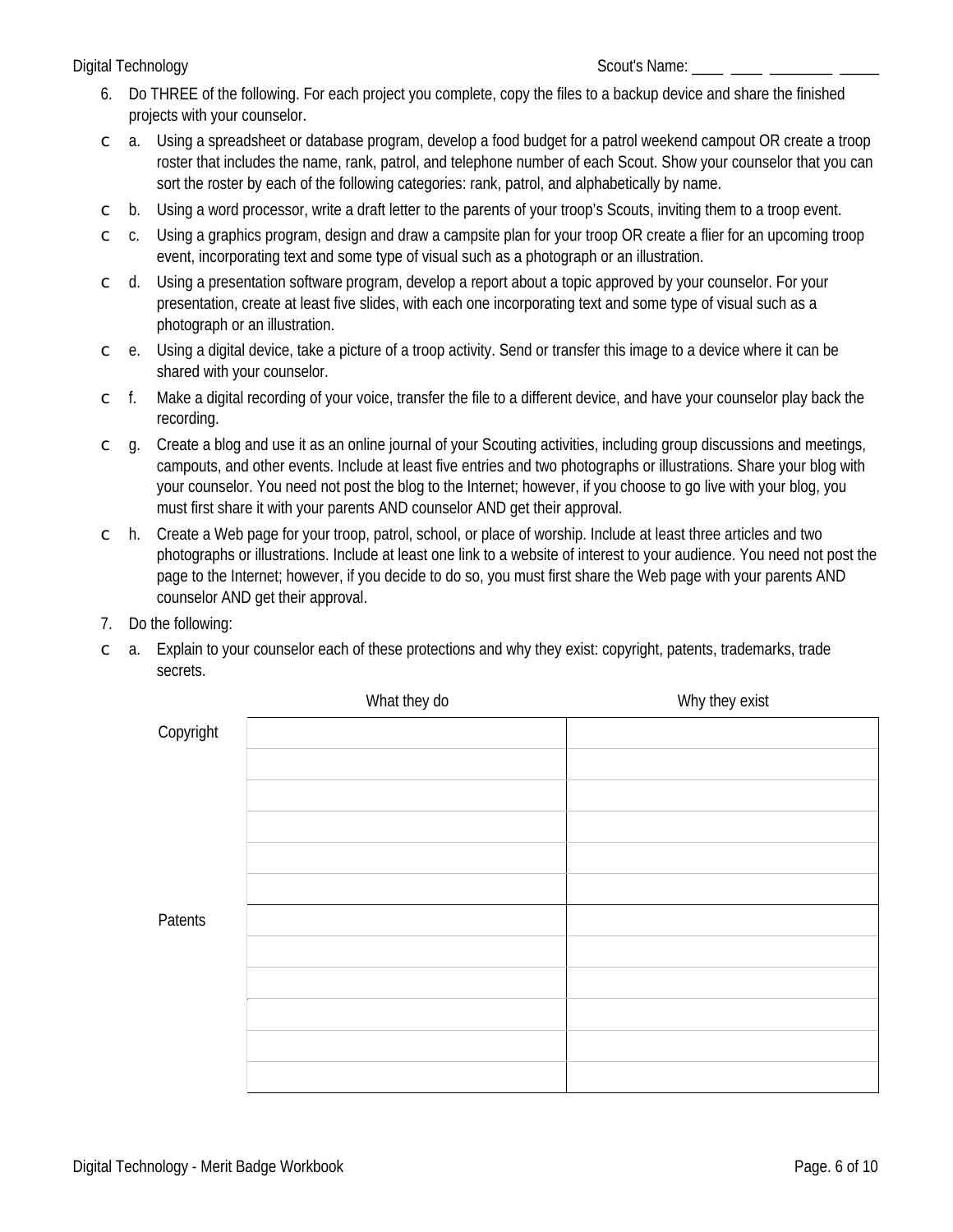- 6. Do THREE of the following. For each project you complete, copy the files to a backup device and share the finished projects with your counselor.
- $\degree$  a. Using a spreadsheet or database program, develop a food budget for a patrol weekend campout OR create a troop roster that includes the name, rank, patrol, and telephone number of each Scout. Show your counselor that you can sort the roster by each of the following categories: rank, patrol, and alphabetically by name.
- $\degree$  b. Using a word processor, write a draft letter to the parents of your troop's Scouts, inviting them to a troop event.
- $\degree$  c. Using a graphics program, design and draw a campsite plan for your troop OR create a flier for an upcoming troop event, incorporating text and some type of visual such as a photograph or an illustration.
- $\degree$  d. Using a presentation software program, develop a report about a topic approved by your counselor. For your presentation, create at least five slides, with each one incorporating text and some type of visual such as a photograph or an illustration.
- $\epsilon$  e. Using a digital device, take a picture of a troop activity. Send or transfer this image to a device where it can be shared with your counselor.
- Make a digital recording of your voice, transfer the file to a different device, and have your counselor play back the  $\subset$  f. recording.
- $\degree$  g. Create a blog and use it as an online journal of your Scouting activities, including group discussions and meetings, campouts, and other events. Include at least five entries and two photographs or illustrations. Share your blog with your counselor. You need not post the blog to the Internet; however, if you choose to go live with your blog, you must first share it with your parents AND counselor AND get their approval.
- $\circ$  h. Create a Web page for your troop, patrol, school, or place of worship. Include at least three articles and two photographs or illustrations. Include at least one link to a website of interest to your audience. You need not post the page to the Internet; however, if you decide to do so, you must first share the Web page with your parents AND counselor AND get their approval.
- 7. Do the following:
- $\degree$  a. Explain to your counselor each of these protections and why they exist: copyright, patents, trademarks, trade secrets.

|                | What they do | Why they exist |
|----------------|--------------|----------------|
| Copyright      |              |                |
|                |              |                |
|                |              |                |
|                |              |                |
|                |              |                |
|                |              |                |
| <b>Patents</b> |              |                |
|                |              |                |
|                |              |                |
|                |              |                |
|                |              |                |
|                |              |                |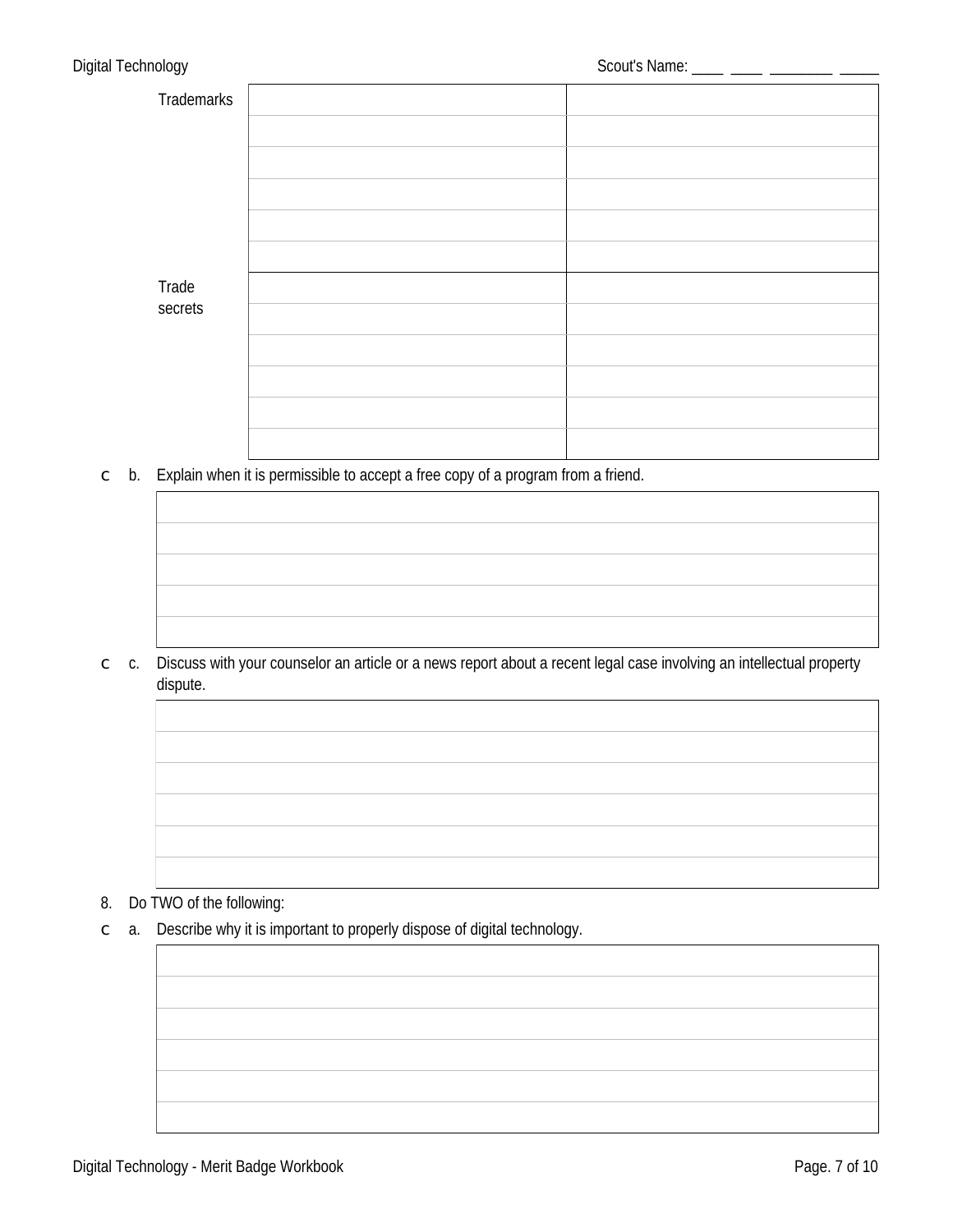| <b>Trademarks</b> |  |
|-------------------|--|
|                   |  |
|                   |  |
|                   |  |
|                   |  |
|                   |  |
| <b>Trade</b>      |  |
| secrets           |  |
|                   |  |
|                   |  |
|                   |  |
|                   |  |
|                   |  |

 $\circ$  b. Explain when it is permissible to accept a free copy of a program from a friend.

| ,一个人都是一个人的人,我们也不会不会不会。""我们,我们也不会不会不会不会不会不会不会不会。""我们,我们也不会不会不会不会不会不会不会不会。""我们,我们也 |  |  |
|----------------------------------------------------------------------------------|--|--|
|                                                                                  |  |  |
|                                                                                  |  |  |
| ,我们也不会有什么?""我们的人,我们也不会有什么?""我们的人,我们也不会有什么?""我们的人,我们也不会有什么?""我们的人,我们也不会有什么?""我们的人 |  |  |
|                                                                                  |  |  |
|                                                                                  |  |  |
| ,我们也不能会在这里,我们也不能会在这里,我们也不能会在这里,我们也不能会不能会不能会不能会不能会不能会不能会。""我们,我们也不能会不能会不能会不能会不能会不 |  |  |
|                                                                                  |  |  |
|                                                                                  |  |  |
| ,我们也不会有什么?""我们的人,我们也不会不会不会不会不会不会不会不会不会不会不会不会不会。""我们的人,我们也不会不会不会不会不会不会不会不会不会不会不会不 |  |  |
|                                                                                  |  |  |
|                                                                                  |  |  |
|                                                                                  |  |  |
|                                                                                  |  |  |
|                                                                                  |  |  |
|                                                                                  |  |  |
|                                                                                  |  |  |

c c. Discuss with your counselor an article or a news report about a recent legal case involving an intellectual property dispute.



- 8. Do TWO of the following:
- Describe why it is important to properly dispose of digital technology.  $\mathsf{C}$ a.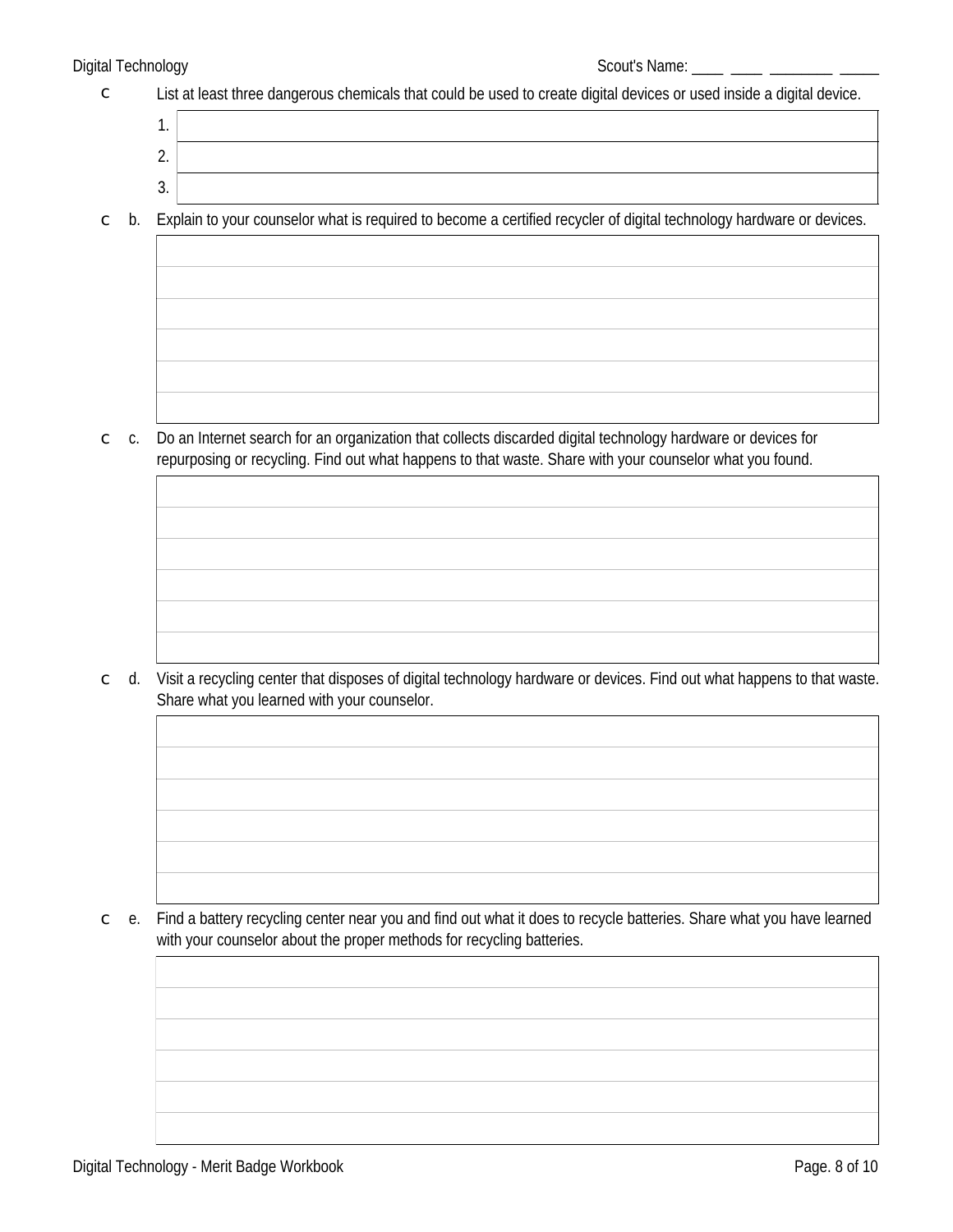- $\mathsf C$ List at least three dangerous chemicals that could be used to create digital devices or used inside a digital device.
	- $\mathbf{1}$  $2.$

 $3.$ 

 $\circ$  b. Explain to your counselor what is required to become a certified recycler of digital technology hardware or devices.

 $\degree$  c. Do an Internet search for an organization that collects discarded digital technology hardware or devices for repurposing or recycling. Find out what happens to that waste. Share with your counselor what you found.

c d. Visit a recycling center that disposes of digital technology hardware or devices. Find out what happens to that waste. Share what you learned with your counselor.

Find a battery recycling center near you and find out what it does to recycle batteries. Share what you have learned  $\mathsf{C}$ e. with your counselor about the proper methods for recycling batteries.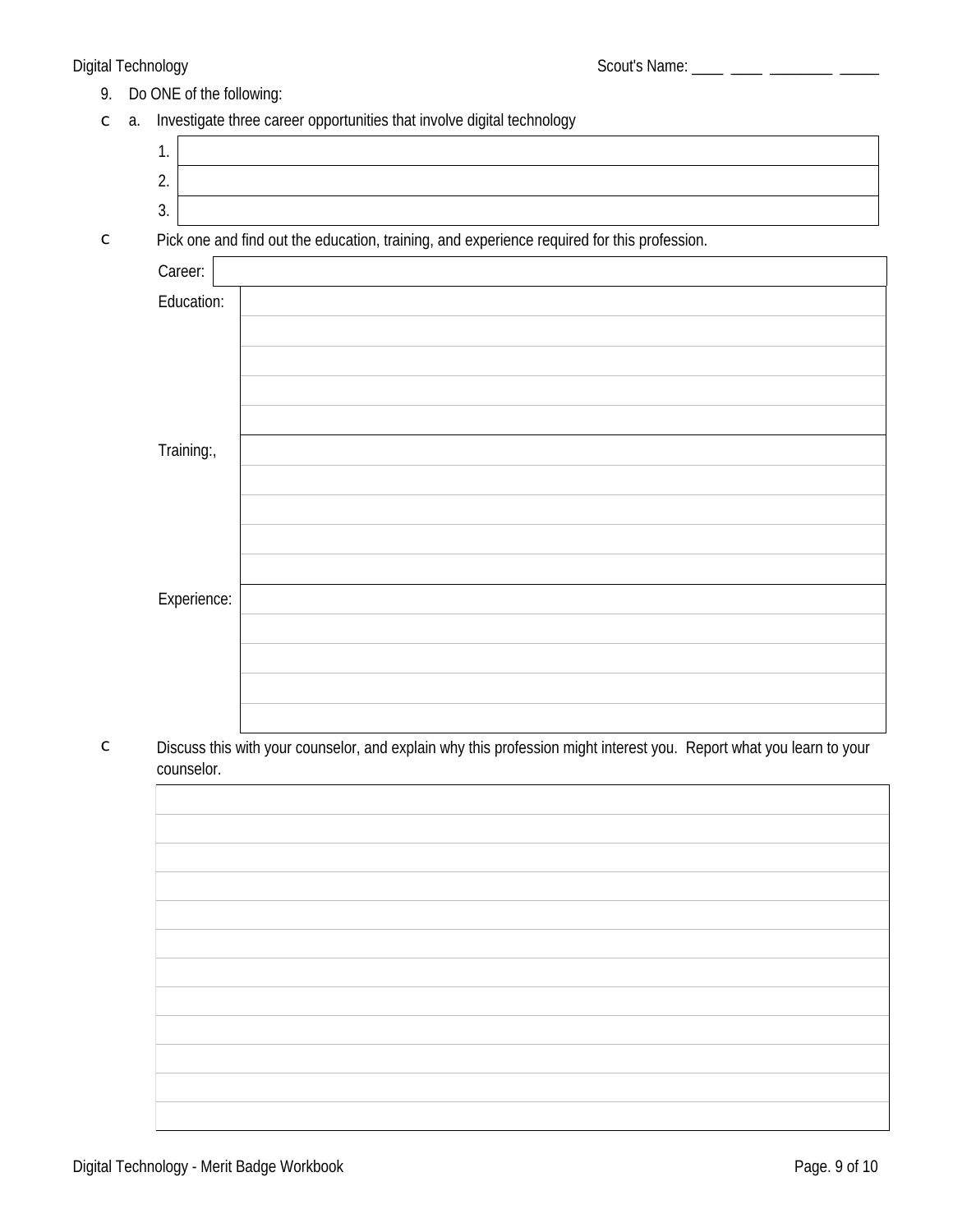$\overline{C}$ 

- 9. Do ONE of the following:
- $\epsilon$  a. Investigate three career opportunities that involve digital technology

| 1.          | .<br>$\overline{\phantom{a}}$                                                               |
|-------------|---------------------------------------------------------------------------------------------|
| 2.          |                                                                                             |
| 3.          |                                                                                             |
|             | Pick one and find out the education, training, and experience required for this profession. |
| Career:     |                                                                                             |
| Education:  |                                                                                             |
|             |                                                                                             |
|             |                                                                                             |
|             |                                                                                             |
|             |                                                                                             |
| Training:,  |                                                                                             |
|             |                                                                                             |
|             |                                                                                             |
|             |                                                                                             |
|             |                                                                                             |
| Experience: |                                                                                             |
|             |                                                                                             |
|             |                                                                                             |
|             |                                                                                             |
|             |                                                                                             |

Discuss this with your counselor, and explain why this profession might interest you. Report what you learn to your  $\mathsf C$ counselor.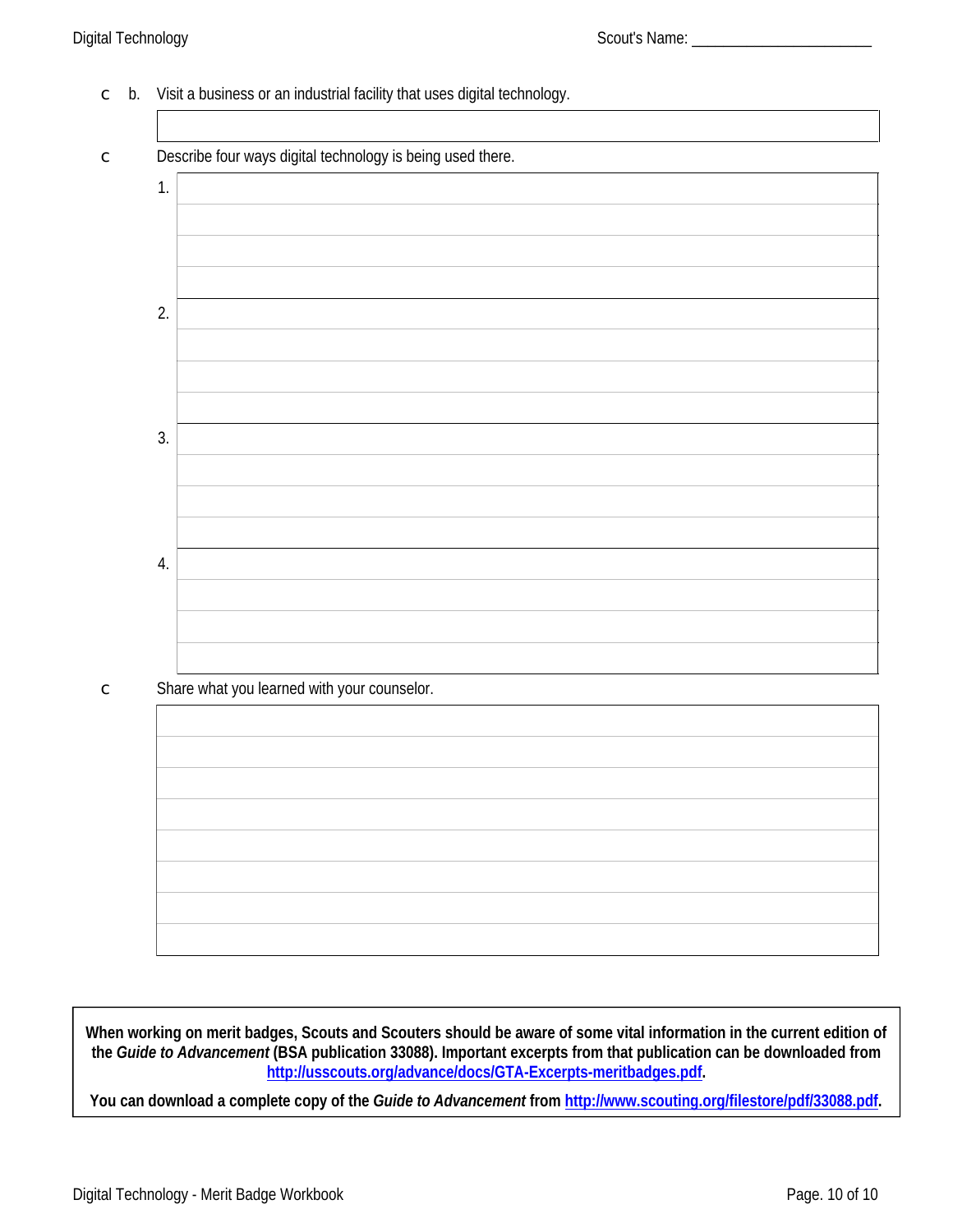| b.<br>$\mathsf C$ | Visit a business or an industrial facility that uses digital technology. |                                                            |  |  |  |
|-------------------|--------------------------------------------------------------------------|------------------------------------------------------------|--|--|--|
|                   |                                                                          |                                                            |  |  |  |
| $\mathsf C$       |                                                                          | Describe four ways digital technology is being used there. |  |  |  |
|                   | $\mathbf{1}$                                                             |                                                            |  |  |  |
|                   |                                                                          |                                                            |  |  |  |
|                   |                                                                          |                                                            |  |  |  |
|                   |                                                                          |                                                            |  |  |  |
|                   | 2.                                                                       |                                                            |  |  |  |
|                   |                                                                          |                                                            |  |  |  |
|                   |                                                                          |                                                            |  |  |  |
|                   | 3.                                                                       |                                                            |  |  |  |
|                   |                                                                          |                                                            |  |  |  |
|                   |                                                                          |                                                            |  |  |  |
|                   |                                                                          |                                                            |  |  |  |
|                   | 4.                                                                       |                                                            |  |  |  |
|                   |                                                                          |                                                            |  |  |  |
|                   |                                                                          |                                                            |  |  |  |
|                   |                                                                          |                                                            |  |  |  |
| $\subset$         |                                                                          | Share what you learned with your counselor.                |  |  |  |
|                   |                                                                          |                                                            |  |  |  |
|                   |                                                                          |                                                            |  |  |  |
|                   |                                                                          |                                                            |  |  |  |
|                   |                                                                          |                                                            |  |  |  |
|                   |                                                                          |                                                            |  |  |  |
|                   |                                                                          |                                                            |  |  |  |
|                   |                                                                          |                                                            |  |  |  |
|                   |                                                                          |                                                            |  |  |  |

When working on merit badges, Scouts and Scouters should be aware of some vital information in the current edition of the Guide to Advancement (BSA publication 33088). Important excerpts from that publication can be downloaded from http://usscouts.org/advance/docs/GTA-Excerpts-meritbadges.pdf.

You can download a complete copy of the Guide to Advancement from http://www.scouting.org/filestore/pdf/33088.pdf.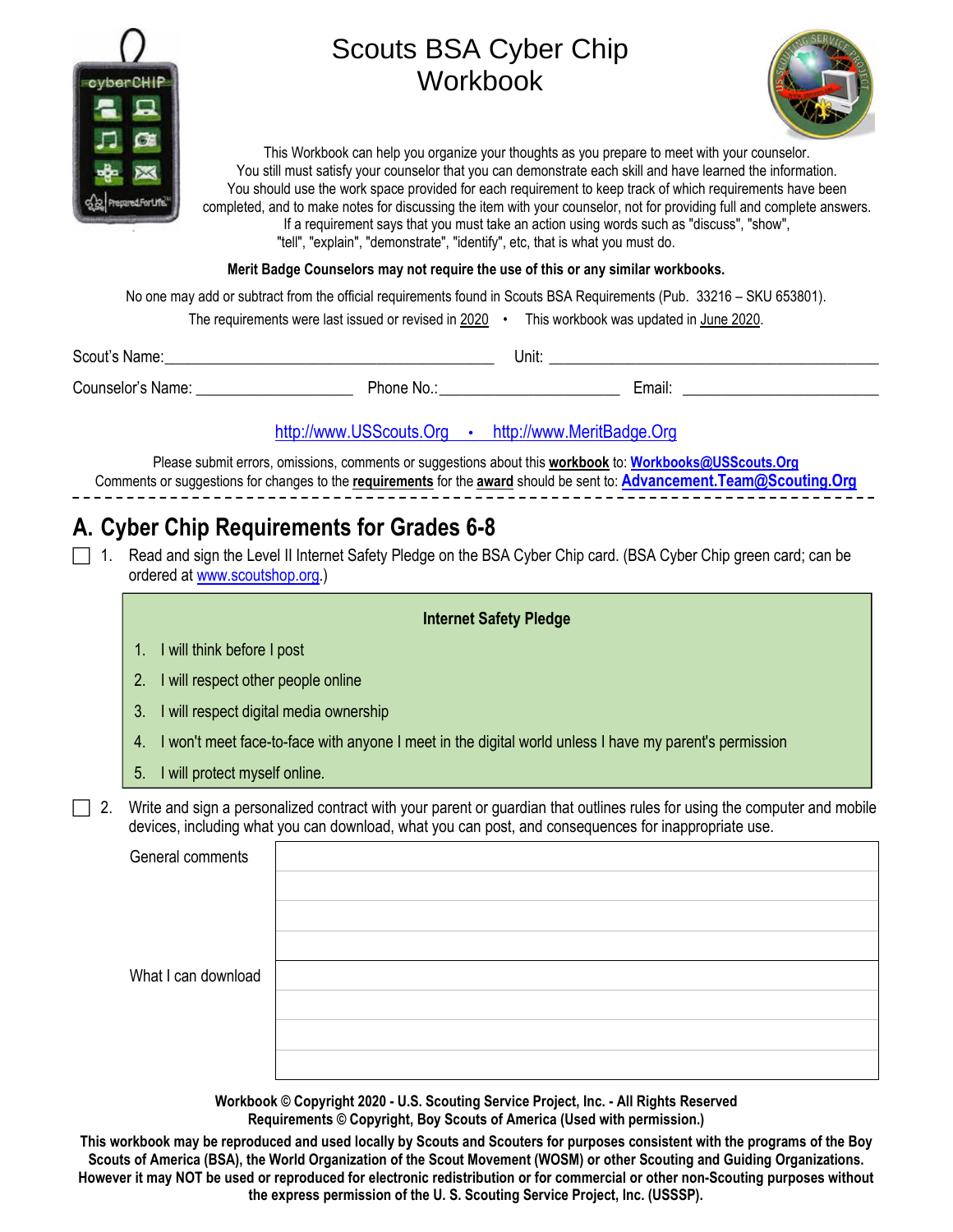

# Scouts BSA Cyber Chip **Workbook**



This Workbook can help you organize your thoughts as you prepare to meet with your counselor. You still must satisfy your counselor that you can demonstrate each skill and have learned the information. You should use the work space provided for each requirement to keep track of which requirements have been completed, and to make notes for discussing the item with your counselor, not for providing full and complete answers. If a requirement says that you must take an action using words such as "discuss", "show", "tell", "explain", "demonstrate", "identify", etc, that is what you must do.

#### **Merit Badge Counselors may not require the use of this or any similar workbooks.**

No one may add or subtract from the official requirements found in Scouts BSA Requirements (Pub. 33216 – SKU 653801).

The requirements were last issued or revised in 2020 • This workbook was updated in June 2020.

| Scout's<br>Name      |               | <b>Unit</b> |        |
|----------------------|---------------|-------------|--------|
| Counselor's<br>Name: | Phone i<br>No |             | Email: |

#### http://www.USScouts.Org • http://www.MeritBadge.Org

Please submit errors, omissions, comments or suggestions about this **workbook** to: **Workbooks@USScouts.Org** Comments or suggestions for changes to the **requirements** for the **award** should be sent to: **Advancement.Team@Scouting.Org**

## **A. Cyber Chip Requirements for Grades 6-8**

1. Read and sign the Level II Internet Safety Pledge on the BSA Cyber Chip card. (BSA Cyber Chip green card; can be ordered at www.scoutshop.org.)

|    |                                                                                                                                                                                                                                   | <b>Internet Safety Pledge</b>                                                                          |  |
|----|-----------------------------------------------------------------------------------------------------------------------------------------------------------------------------------------------------------------------------------|--------------------------------------------------------------------------------------------------------|--|
|    | I will think before I post<br>1.                                                                                                                                                                                                  |                                                                                                        |  |
|    | I will respect other people online<br>2.                                                                                                                                                                                          |                                                                                                        |  |
|    | 3.                                                                                                                                                                                                                                | I will respect digital media ownership                                                                 |  |
|    | 4.                                                                                                                                                                                                                                | I won't meet face-to-face with anyone I meet in the digital world unless I have my parent's permission |  |
|    | I will protect myself online.<br>5 <sub>1</sub>                                                                                                                                                                                   |                                                                                                        |  |
| 2. | Write and sign a personalized contract with your parent or guardian that outlines rules for using the computer and mobile<br>devices, including what you can download, what you can post, and consequences for inappropriate use. |                                                                                                        |  |
|    | General comments                                                                                                                                                                                                                  |                                                                                                        |  |
|    |                                                                                                                                                                                                                                   |                                                                                                        |  |
|    |                                                                                                                                                                                                                                   |                                                                                                        |  |
|    |                                                                                                                                                                                                                                   |                                                                                                        |  |
|    | What I can download                                                                                                                                                                                                               |                                                                                                        |  |
|    |                                                                                                                                                                                                                                   |                                                                                                        |  |
|    |                                                                                                                                                                                                                                   |                                                                                                        |  |
|    |                                                                                                                                                                                                                                   |                                                                                                        |  |
|    |                                                                                                                                                                                                                                   | Workbook © Copyright 2020 - U.S. Scouting Service Project, Inc. - All Rights Reserved                  |  |

**Requirements © Copyright, Boy Scouts of America (Used with permission.)** 

**This workbook may be reproduced and used locally by Scouts and Scouters for purposes consistent with the programs of the Boy Scouts of America (BSA), the World Organization of the Scout Movement (WOSM) or other Scouting and Guiding Organizations. However it may NOT be used or reproduced for electronic redistribution or for commercial or other non-Scouting purposes without the express permission of the U. S. Scouting Service Project, Inc. (USSSP).**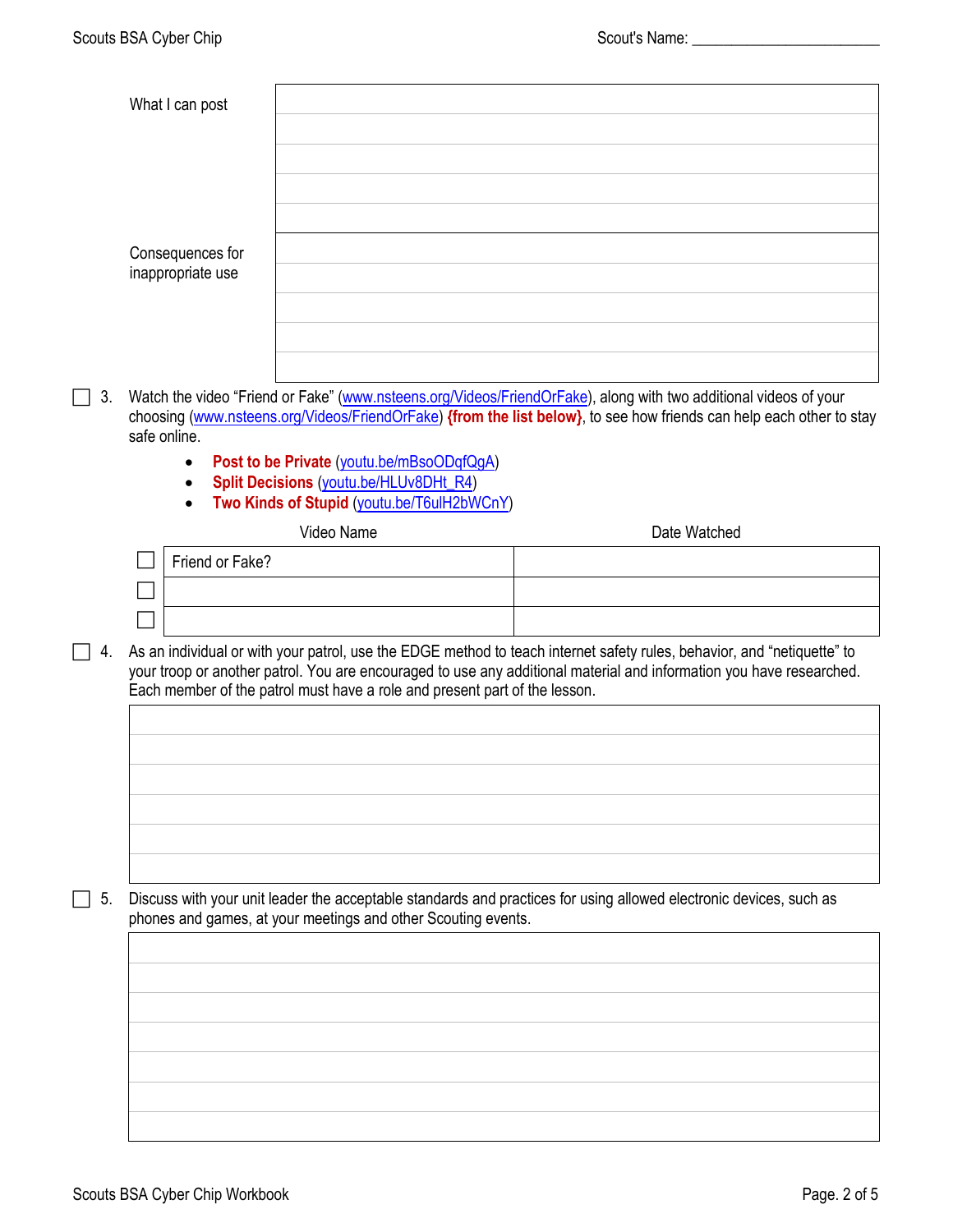|    | What I can post                       |                                                                                             |                                                                                                                                                                                                                                          |
|----|---------------------------------------|---------------------------------------------------------------------------------------------|------------------------------------------------------------------------------------------------------------------------------------------------------------------------------------------------------------------------------------------|
|    |                                       |                                                                                             |                                                                                                                                                                                                                                          |
|    |                                       |                                                                                             |                                                                                                                                                                                                                                          |
|    |                                       |                                                                                             |                                                                                                                                                                                                                                          |
|    | Consequences for<br>inappropriate use |                                                                                             |                                                                                                                                                                                                                                          |
|    |                                       |                                                                                             |                                                                                                                                                                                                                                          |
|    |                                       |                                                                                             |                                                                                                                                                                                                                                          |
|    |                                       |                                                                                             |                                                                                                                                                                                                                                          |
| 3. |                                       |                                                                                             | Watch the video "Friend or Fake" (www.nsteens.org/Videos/FriendOrFake), along with two additional videos of your<br>choosing (www.nsteens.org/Videos/FriendOrFake) {from the list below}, to see how friends can help each other to stay |
|    | safe online.<br>$\bullet$             | Post to be Private (youtu.be/mBsoODqfQqA)                                                   |                                                                                                                                                                                                                                          |
|    | $\bullet$<br>$\bullet$                | <b>Split Decisions (youtu.be/HLUv8DHt_R4)</b><br>Two Kinds of Stupid (youtu.be/T6ulH2bWCnY) |                                                                                                                                                                                                                                          |
|    |                                       | Video Name                                                                                  | Date Watched                                                                                                                                                                                                                             |
|    | Friend or Fake?                       |                                                                                             |                                                                                                                                                                                                                                          |
|    |                                       |                                                                                             |                                                                                                                                                                                                                                          |
| 4. |                                       |                                                                                             | As an individual or with your patrol, use the EDGE method to teach internet safety rules, behavior, and "netiquette" to                                                                                                                  |
|    |                                       | Each member of the patrol must have a role and present part of the lesson.                  | your troop or another patrol. You are encouraged to use any additional material and information you have researched.                                                                                                                     |
|    |                                       |                                                                                             |                                                                                                                                                                                                                                          |
|    |                                       |                                                                                             |                                                                                                                                                                                                                                          |
|    |                                       |                                                                                             |                                                                                                                                                                                                                                          |
|    |                                       |                                                                                             |                                                                                                                                                                                                                                          |
|    |                                       |                                                                                             |                                                                                                                                                                                                                                          |
| 5. |                                       | phones and games, at your meetings and other Scouting events.                               | Discuss with your unit leader the acceptable standards and practices for using allowed electronic devices, such as                                                                                                                       |
|    |                                       |                                                                                             |                                                                                                                                                                                                                                          |
|    |                                       |                                                                                             |                                                                                                                                                                                                                                          |
|    |                                       |                                                                                             |                                                                                                                                                                                                                                          |
|    |                                       |                                                                                             |                                                                                                                                                                                                                                          |
|    |                                       |                                                                                             |                                                                                                                                                                                                                                          |
|    |                                       |                                                                                             |                                                                                                                                                                                                                                          |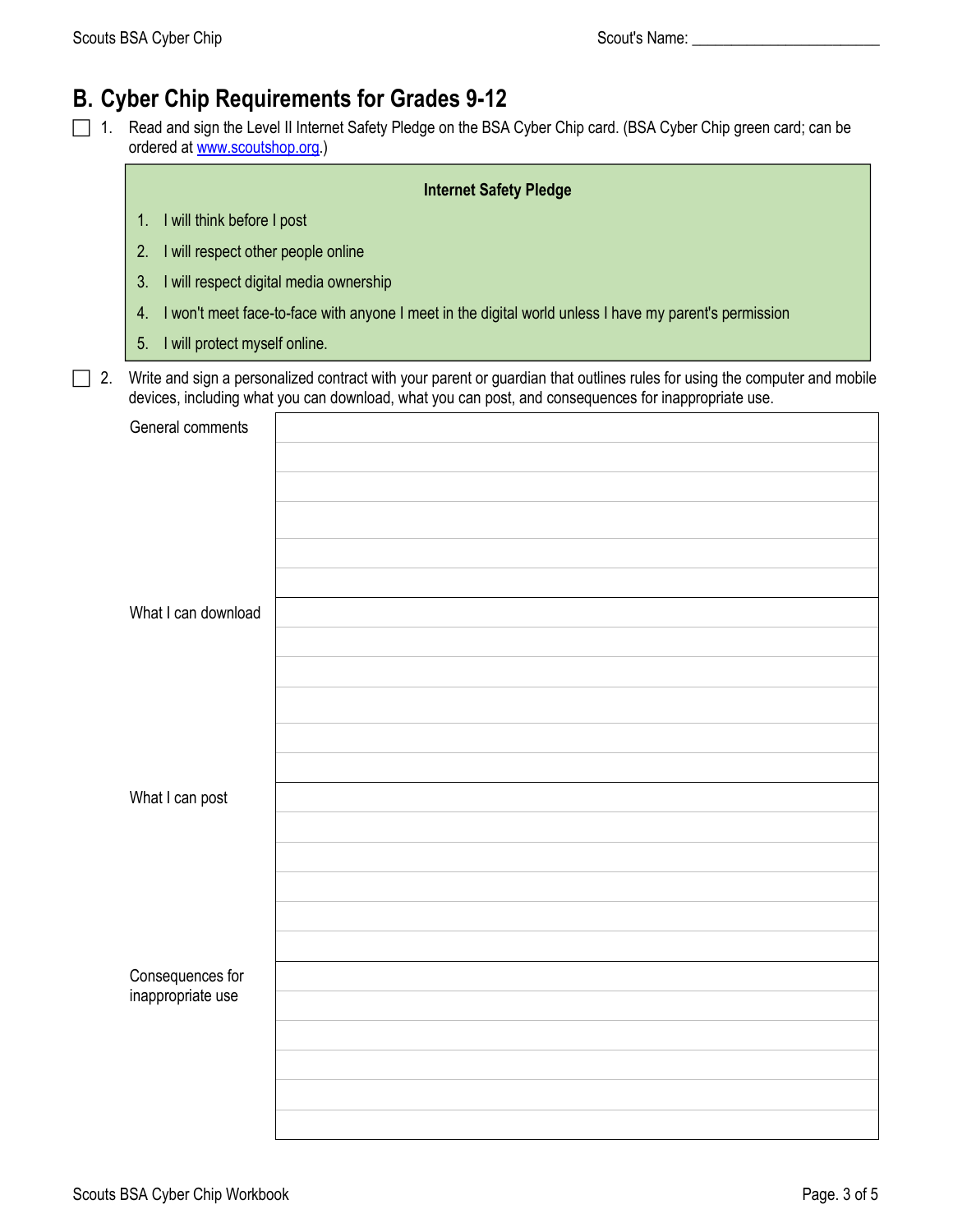### **B. Cyber Chip Requirements for Grades 9-12**

1. Read and sign the Level II Internet Safety Pledge on the BSA Cyber Chip card. (BSA Cyber Chip green card; can be ordered at www.scoutshop.org.)

|    | <b>Internet Safety Pledge</b>                                                                                                                                                                                                     |  |  |  |  |
|----|-----------------------------------------------------------------------------------------------------------------------------------------------------------------------------------------------------------------------------------|--|--|--|--|
|    | I will think before I post<br>1.                                                                                                                                                                                                  |  |  |  |  |
|    | 2.<br>I will respect other people online                                                                                                                                                                                          |  |  |  |  |
|    | 3.<br>I will respect digital media ownership                                                                                                                                                                                      |  |  |  |  |
|    | I won't meet face-to-face with anyone I meet in the digital world unless I have my parent's permission<br>$\overline{4}$ .<br>I will protect myself online.<br>5.                                                                 |  |  |  |  |
|    |                                                                                                                                                                                                                                   |  |  |  |  |
| 2. | Write and sign a personalized contract with your parent or guardian that outlines rules for using the computer and mobile<br>devices, including what you can download, what you can post, and consequences for inappropriate use. |  |  |  |  |
|    | General comments                                                                                                                                                                                                                  |  |  |  |  |
|    |                                                                                                                                                                                                                                   |  |  |  |  |
|    |                                                                                                                                                                                                                                   |  |  |  |  |
|    |                                                                                                                                                                                                                                   |  |  |  |  |
|    |                                                                                                                                                                                                                                   |  |  |  |  |
|    |                                                                                                                                                                                                                                   |  |  |  |  |
|    | What I can download                                                                                                                                                                                                               |  |  |  |  |
|    |                                                                                                                                                                                                                                   |  |  |  |  |
|    |                                                                                                                                                                                                                                   |  |  |  |  |
|    |                                                                                                                                                                                                                                   |  |  |  |  |
|    |                                                                                                                                                                                                                                   |  |  |  |  |
|    |                                                                                                                                                                                                                                   |  |  |  |  |
|    | What I can post                                                                                                                                                                                                                   |  |  |  |  |
|    |                                                                                                                                                                                                                                   |  |  |  |  |
|    |                                                                                                                                                                                                                                   |  |  |  |  |
|    |                                                                                                                                                                                                                                   |  |  |  |  |
|    |                                                                                                                                                                                                                                   |  |  |  |  |
|    |                                                                                                                                                                                                                                   |  |  |  |  |
|    | Consequences for<br>inappropriate use                                                                                                                                                                                             |  |  |  |  |
|    |                                                                                                                                                                                                                                   |  |  |  |  |
|    |                                                                                                                                                                                                                                   |  |  |  |  |
|    |                                                                                                                                                                                                                                   |  |  |  |  |
|    |                                                                                                                                                                                                                                   |  |  |  |  |
|    |                                                                                                                                                                                                                                   |  |  |  |  |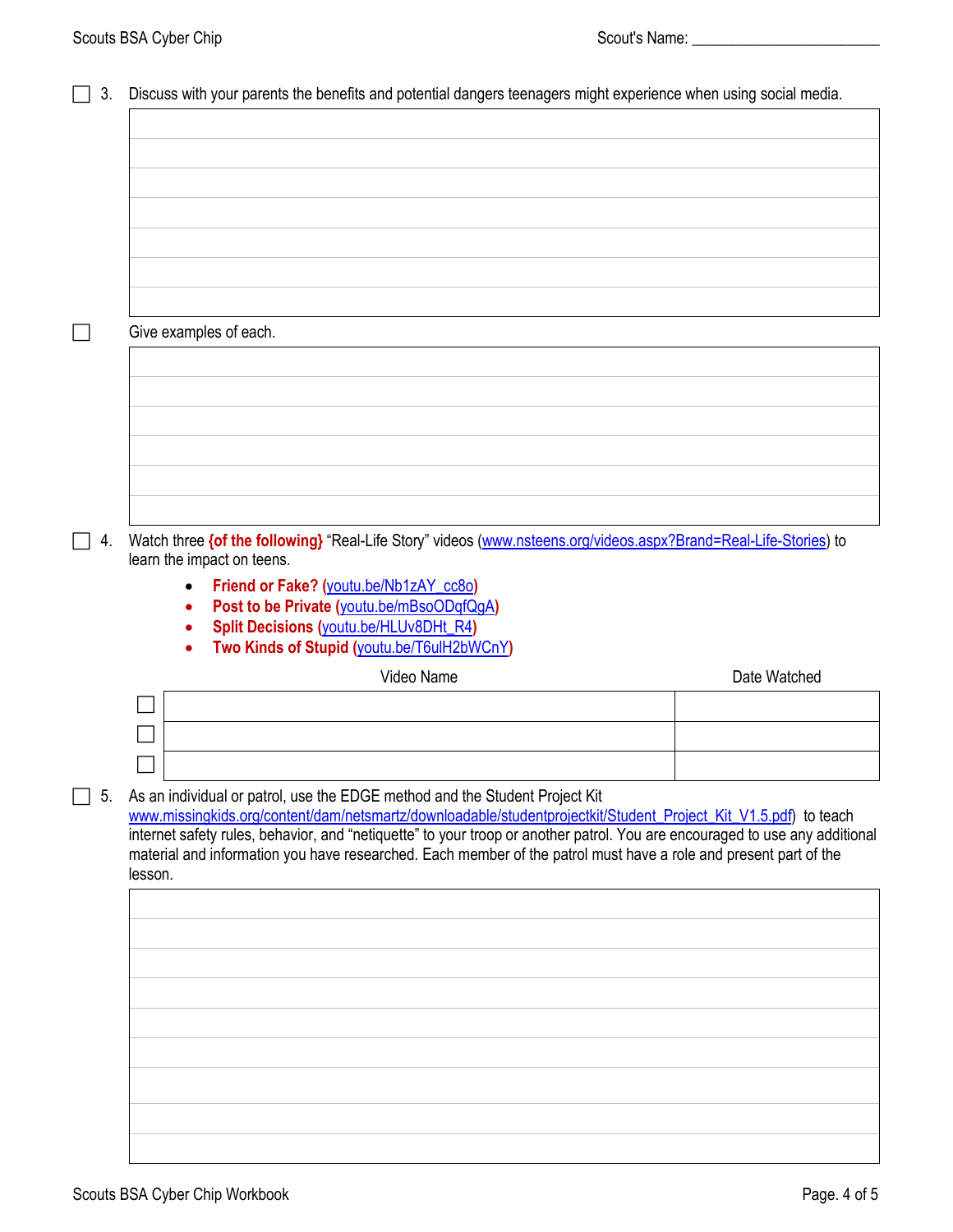| 3. | Discuss with your parents the benefits and potential dangers teenagers might experience when using social media.                                                                                                                                |              |  |  |  |
|----|-------------------------------------------------------------------------------------------------------------------------------------------------------------------------------------------------------------------------------------------------|--------------|--|--|--|
|    |                                                                                                                                                                                                                                                 |              |  |  |  |
|    |                                                                                                                                                                                                                                                 |              |  |  |  |
|    |                                                                                                                                                                                                                                                 |              |  |  |  |
|    |                                                                                                                                                                                                                                                 |              |  |  |  |
|    |                                                                                                                                                                                                                                                 |              |  |  |  |
|    | Give examples of each.                                                                                                                                                                                                                          |              |  |  |  |
|    |                                                                                                                                                                                                                                                 |              |  |  |  |
|    |                                                                                                                                                                                                                                                 |              |  |  |  |
|    |                                                                                                                                                                                                                                                 |              |  |  |  |
|    |                                                                                                                                                                                                                                                 |              |  |  |  |
|    |                                                                                                                                                                                                                                                 |              |  |  |  |
| 4. | Watch three {of the following} "Real-Life Story" videos (www.nsteens.org/videos.aspx?Brand=Real-Life-Stories) to                                                                                                                                |              |  |  |  |
|    | learn the impact on teens.                                                                                                                                                                                                                      |              |  |  |  |
|    | Friend or Fake? (youtu.be/Nb1zAY_cc8o)<br>$\bullet$<br>Post to be Private (youtu.be/mBsoODqfQgA)<br>$\bullet$                                                                                                                                   |              |  |  |  |
|    | <b>Split Decisions (youtu.be/HLUv8DHt_R4)</b><br>Two Kinds of Stupid (youtu.be/T6ulH2bWCnY)<br>٠                                                                                                                                                |              |  |  |  |
|    | Video Name                                                                                                                                                                                                                                      | Date Watched |  |  |  |
|    |                                                                                                                                                                                                                                                 |              |  |  |  |
|    |                                                                                                                                                                                                                                                 |              |  |  |  |
|    |                                                                                                                                                                                                                                                 |              |  |  |  |
| 5. | As an individual or patrol, use the EDGE method and the Student Project Kit<br>www.missingkids.org/content/dam/netsmartz/downloadable/studentprojectkit/Student_Project_Kit_V1.5.pdf) to teach                                                  |              |  |  |  |
|    | internet safety rules, behavior, and "netiquette" to your troop or another patrol. You are encouraged to use any additional<br>material and information you have researched. Each member of the patrol must have a role and present part of the |              |  |  |  |
|    | lesson.                                                                                                                                                                                                                                         |              |  |  |  |
|    |                                                                                                                                                                                                                                                 |              |  |  |  |
|    |                                                                                                                                                                                                                                                 |              |  |  |  |
|    |                                                                                                                                                                                                                                                 |              |  |  |  |
|    |                                                                                                                                                                                                                                                 |              |  |  |  |
|    |                                                                                                                                                                                                                                                 |              |  |  |  |
|    |                                                                                                                                                                                                                                                 |              |  |  |  |
|    |                                                                                                                                                                                                                                                 |              |  |  |  |
|    |                                                                                                                                                                                                                                                 |              |  |  |  |